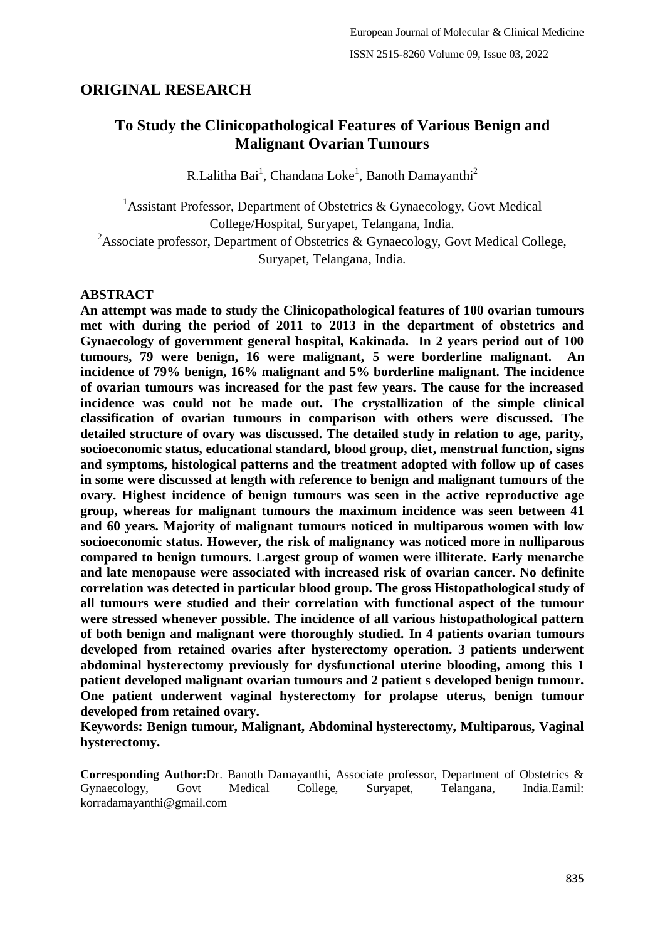# **ORIGINAL RESEARCH**

# **To Study the Clinicopathological Features of Various Benign and Malignant Ovarian Tumours**

R.Lalitha Bai<sup>1</sup>, Chandana Loke<sup>1</sup>, Banoth Damayanthi<sup>2</sup>

<sup>1</sup> Assistant Professor, Department of Obstetrics & Gynaecology, Govt Medical College/Hospital, Suryapet, Telangana, India. <sup>2</sup>Associate professor, Department of Obstetrics & Gynaecology, Govt Medical College,

Suryapet, Telangana, India.

## **ABSTRACT**

**An attempt was made to study the Clinicopathological features of 100 ovarian tumours met with during the period of 2011 to 2013 in the department of obstetrics and Gynaecology of government general hospital, Kakinada. In 2 years period out of 100 tumours, 79 were benign, 16 were malignant, 5 were borderline malignant. An incidence of 79% benign, 16% malignant and 5% borderline malignant. The incidence of ovarian tumours was increased for the past few years. The cause for the increased incidence was could not be made out. The crystallization of the simple clinical classification of ovarian tumours in comparison with others were discussed. The detailed structure of ovary was discussed. The detailed study in relation to age, parity, socioeconomic status, educational standard, blood group, diet, menstrual function, signs and symptoms, histological patterns and the treatment adopted with follow up of cases in some were discussed at length with reference to benign and malignant tumours of the ovary. Highest incidence of benign tumours was seen in the active reproductive age group, whereas for malignant tumours the maximum incidence was seen between 41 and 60 years. Majority of malignant tumours noticed in multiparous women with low socioeconomic status. However, the risk of malignancy was noticed more in nulliparous compared to benign tumours. Largest group of women were illiterate. Early menarche and late menopause were associated with increased risk of ovarian cancer. No definite correlation was detected in particular blood group. The gross Histopathological study of all tumours were studied and their correlation with functional aspect of the tumour were stressed whenever possible. The incidence of all various histopathological pattern of both benign and malignant were thoroughly studied. In 4 patients ovarian tumours developed from retained ovaries after hysterectomy operation. 3 patients underwent abdominal hysterectomy previously for dysfunctional uterine blooding, among this 1 patient developed malignant ovarian tumours and 2 patient s developed benign tumour. One patient underwent vaginal hysterectomy for prolapse uterus, benign tumour developed from retained ovary.**

**Keywords: Benign tumour, Malignant, Abdominal hysterectomy, Multiparous, Vaginal hysterectomy.**

**Corresponding Author:**Dr. Banoth Damayanthi, Associate professor, Department of Obstetrics & Gynaecology, Govt Medical College, Suryapet, Telangana, India.Eamil: korradamayanthi@gmail.com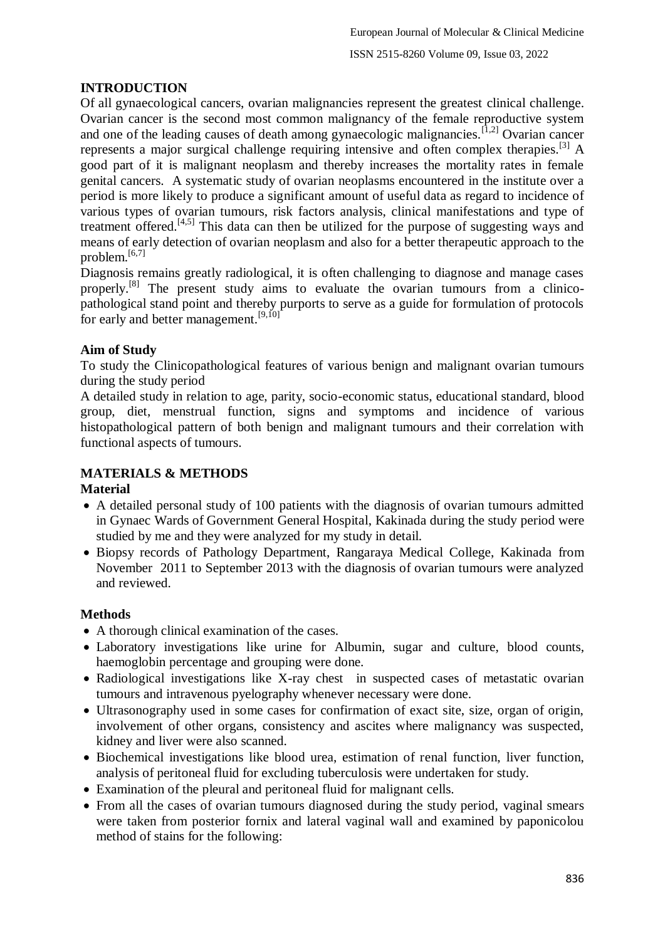# **INTRODUCTION**

Of all gynaecological cancers, ovarian malignancies represent the greatest clinical challenge. Ovarian cancer is the second most common malignancy of the female reproductive system and one of the leading causes of death among gynaecologic malignancies.<sup>[1,2]</sup> Ovarian cancer represents a major surgical challenge requiring intensive and often complex therapies.<sup>[3]</sup> A good part of it is malignant neoplasm and thereby increases the mortality rates in female genital cancers. A systematic study of ovarian neoplasms encountered in the institute over a period is more likely to produce a significant amount of useful data as regard to incidence of various types of ovarian tumours, risk factors analysis, clinical manifestations and type of treatment offered.<sup>[4,5]</sup> This data can then be utilized for the purpose of suggesting ways and means of early detection of ovarian neoplasm and also for a better therapeutic approach to the problem.[6,7]

Diagnosis remains greatly radiological, it is often challenging to diagnose and manage cases properly.<sup>[8]</sup> The present study aims to evaluate the ovarian tumours from a clinicopathological stand point and thereby purports to serve as a guide for formulation of protocols for early and better management.<sup>[9,10]</sup>

## **Aim of Study**

To study the Clinicopathological features of various benign and malignant ovarian tumours during the study period

A detailed study in relation to age, parity, socio-economic status, educational standard, blood group, diet, menstrual function, signs and symptoms and incidence of various histopathological pattern of both benign and malignant tumours and their correlation with functional aspects of tumours.

## **MATERIALS & METHODS**

## **Material**

- A detailed personal study of 100 patients with the diagnosis of ovarian tumours admitted in Gynaec Wards of Government General Hospital, Kakinada during the study period were studied by me and they were analyzed for my study in detail.
- Biopsy records of Pathology Department, Rangaraya Medical College, Kakinada from November 2011 to September 2013 with the diagnosis of ovarian tumours were analyzed and reviewed.

## **Methods**

- A thorough clinical examination of the cases.
- Laboratory investigations like urine for Albumin, sugar and culture, blood counts, haemoglobin percentage and grouping were done.
- Radiological investigations like X-ray chest in suspected cases of metastatic ovarian tumours and intravenous pyelography whenever necessary were done.
- Ultrasonography used in some cases for confirmation of exact site, size, organ of origin, involvement of other organs, consistency and ascites where malignancy was suspected, kidney and liver were also scanned.
- Biochemical investigations like blood urea, estimation of renal function, liver function, analysis of peritoneal fluid for excluding tuberculosis were undertaken for study.
- Examination of the pleural and peritoneal fluid for malignant cells.
- From all the cases of ovarian tumours diagnosed during the study period, vaginal smears were taken from posterior fornix and lateral vaginal wall and examined by paponicolou method of stains for the following: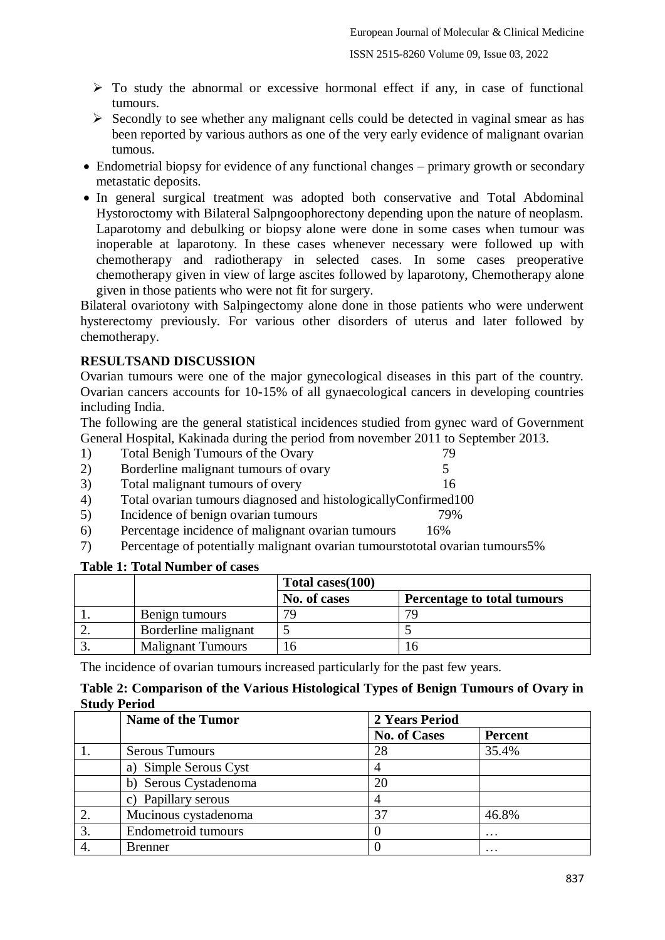- $\triangleright$  To study the abnormal or excessive hormonal effect if any, in case of functional tumours.
- $\triangleright$  Secondly to see whether any malignant cells could be detected in vaginal smear as has been reported by various authors as one of the very early evidence of malignant ovarian tumous.
- Endometrial biopsy for evidence of any functional changes primary growth or secondary metastatic deposits.
- In general surgical treatment was adopted both conservative and Total Abdominal Hystoroctomy with Bilateral Salpngoophorectony depending upon the nature of neoplasm. Laparotomy and debulking or biopsy alone were done in some cases when tumour was inoperable at laparotony. In these cases whenever necessary were followed up with chemotherapy and radiotherapy in selected cases. In some cases preoperative chemotherapy given in view of large ascites followed by laparotony, Chemotherapy alone given in those patients who were not fit for surgery.

Bilateral ovariotony with Salpingectomy alone done in those patients who were underwent hysterectomy previously. For various other disorders of uterus and later followed by chemotherapy.

## **RESULTSAND DISCUSSION**

Ovarian tumours were one of the major gynecological diseases in this part of the country. Ovarian cancers accounts for 10-15% of all gynaecological cancers in developing countries including India.

The following are the general statistical incidences studied from gynec ward of Government General Hospital, Kakinada during the period from november 2011 to September 2013.

- 1) Total Benigh Tumours of the Ovary 79
- 2) Borderline malignant tumours of ovary 5
- 3) Total malignant tumours of overy 16
- 4) Total ovarian tumours diagnosed and histologicallyConfirmed100
- 5) Incidence of benign ovarian tumours 79%
- 6) Percentage incidence of malignant ovarian tumours 16%
- 7) Percentage of potentially malignant ovarian tumourstototal ovarian tumours5%

## **Table 1: Total Number of cases**

|                          | Total cases (100) |                             |  |  |
|--------------------------|-------------------|-----------------------------|--|--|
|                          | No. of cases      | Percentage to total tumours |  |  |
| Benign tumours           | 70                | 70                          |  |  |
| Borderline malignant     |                   |                             |  |  |
| <b>Malignant Tumours</b> |                   |                             |  |  |

The incidence of ovarian tumours increased particularly for the past few years.

## **Table 2: Comparison of the Various Histological Types of Benign Tumours of Ovary in Study Period**

| <b>Name of the Tumor</b> | 2 Years Period      |                   |  |  |
|--------------------------|---------------------|-------------------|--|--|
|                          | <b>No. of Cases</b> | <b>Percent</b>    |  |  |
| <b>Serous Tumours</b>    | 28                  | 35.4%             |  |  |
| a) Simple Serous Cyst    |                     |                   |  |  |
| Serous Cystadenoma<br>b) | 20                  |                   |  |  |
| c) Papillary serous      |                     |                   |  |  |
| Mucinous cystadenoma     | 37                  | 46.8%             |  |  |
| Endometroid tumours      |                     | $\cdot\cdot\cdot$ |  |  |
| <b>Brenner</b>           |                     | $\ddotsc$         |  |  |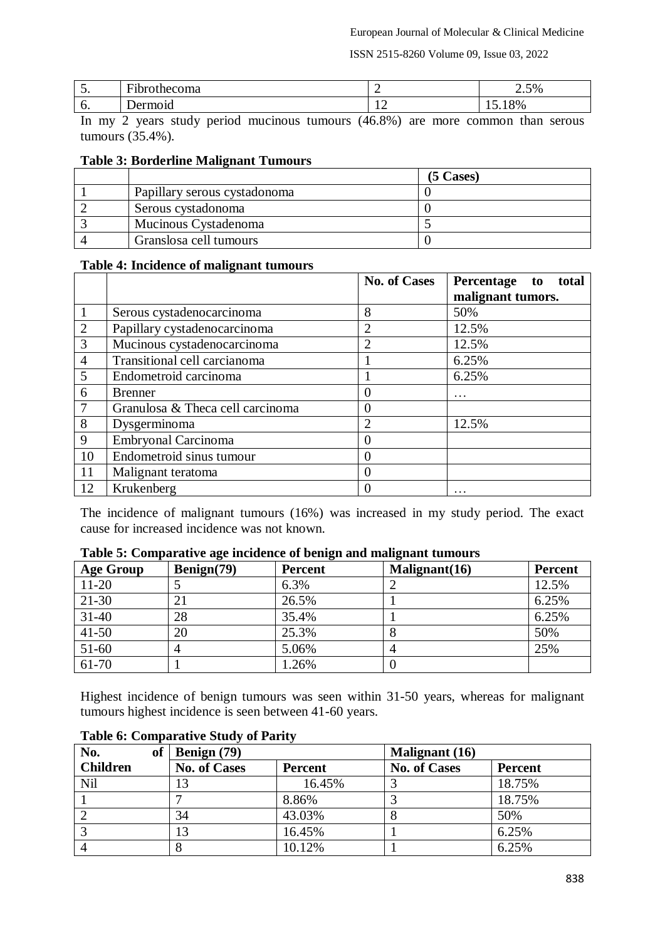| <u>.</u> | $\sim$<br>ша<br>. | -          | 50 <sub>6</sub><br>$\omega$ . $\omega$ /v |
|----------|-------------------|------------|-------------------------------------------|
| v.       | . וכ              | <u>+ 4</u> | 8%                                        |

In my 2 years study period mucinous tumours (46.8%) are more common than serous tumours (35.4%).

## **Table 3: Borderline Malignant Tumours**

|                              | $(5 \text{ Cases})$ |
|------------------------------|---------------------|
| Papillary serous cystadonoma |                     |
| Serous cystadonoma           |                     |
| Mucinous Cystadenoma         |                     |
| Granslosa cell tumours       |                     |

### **Table 4: Incidence of malignant tumours**

|                |                                  | <b>No. of Cases</b> | Percentage<br>total<br>to<br>malignant tumors. |
|----------------|----------------------------------|---------------------|------------------------------------------------|
| $\mathbf{1}$   | Serous cystadenocarcinoma        | 8                   | 50%                                            |
| 2              | Papillary cystadenocarcinoma     | $\overline{2}$      | 12.5%                                          |
| $\overline{3}$ | Mucinous cystadenocarcinoma      | $\overline{2}$      | 12.5%                                          |
| $\overline{4}$ | Transitional cell carcianoma     |                     | 6.25%                                          |
| 5              | Endometroid carcinoma            |                     | 6.25%                                          |
| 6              | <b>Brenner</b>                   | $\overline{0}$      | $\cdot$                                        |
| 7              | Granulosa & Theca cell carcinoma | $\overline{0}$      |                                                |
| 8              | Dysgerminoma                     | $\overline{2}$      | 12.5%                                          |
| 9              | Embryonal Carcinoma              | $\overline{0}$      |                                                |
| 10             | Endometroid sinus tumour         | $\overline{0}$      |                                                |
| 11             | Malignant teratoma               | $\overline{0}$      |                                                |
| 12             | Krukenberg                       | $\boldsymbol{0}$    | $\cdot\cdot\cdot$                              |

The incidence of malignant tumours (16%) was increased in my study period. The exact cause for increased incidence was not known.

| <b>Age Group</b> | Benign(79) | <b>Percent</b> | Malignant(16) | <b>Percent</b> |
|------------------|------------|----------------|---------------|----------------|
| $11 - 20$        |            | 6.3%           |               | 12.5%          |
| $21 - 30$        |            | 26.5%          |               | 6.25%          |
| $31 - 40$        | 28         | 35.4%          |               | 6.25%          |
| $41 - 50$        | 20         | 25.3%          |               | 50%            |
| $51-60$          |            | 5.06%          |               | 25%            |
| 61-70            |            | 1.26%          |               |                |

## **Table 5: Comparative age incidence of benign and malignant tumours**

Highest incidence of benign tumours was seen within 31-50 years, whereas for malignant tumours highest incidence is seen between 41-60 years.

| No.             | <b>of</b> | Benign (79)         |                | <b>Malignant</b> (16) |                |  |
|-----------------|-----------|---------------------|----------------|-----------------------|----------------|--|
| <b>Children</b> |           | <b>No. of Cases</b> | <b>Percent</b> | <b>No. of Cases</b>   | <b>Percent</b> |  |
| Nil             |           |                     | 16.45%         |                       | 18.75%         |  |
|                 |           |                     | 8.86%          |                       | 18.75%         |  |
|                 |           | 34                  | 43.03%         | Õ                     | 50%            |  |
|                 |           |                     | 16.45%         |                       | 6.25%          |  |
|                 |           |                     | 10.12%         |                       | 6.25%          |  |

### **Table 6: Comparative Study of Parity**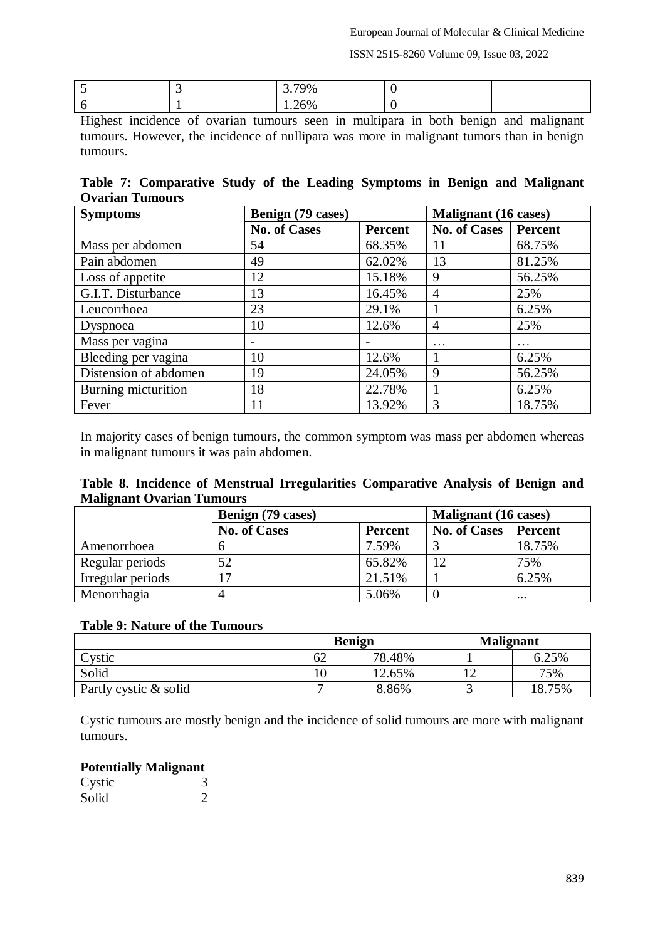|  | г. |  |
|--|----|--|
|  |    |  |

Highest incidence of ovarian tumours seen in multipara in both benign and malignant tumours. However, the incidence of nullipara was more in malignant tumors than in benign tumours.

**Table 7: Comparative Study of the Leading Symptoms in Benign and Malignant Ovarian Tumours**

| <b>Symptoms</b>       | Benign (79 cases)   |         | <b>Malignant</b> (16 cases) |          |  |
|-----------------------|---------------------|---------|-----------------------------|----------|--|
|                       | <b>No. of Cases</b> | Percent | No. of Cases                | Percent  |  |
| Mass per abdomen      | 54                  | 68.35%  | 11                          | 68.75%   |  |
| Pain abdomen          | 49                  | 62.02%  | 13                          | 81.25%   |  |
| Loss of appetite      | 12                  | 15.18%  | 9                           | 56.25%   |  |
| G.I.T. Disturbance    | 13                  | 16.45%  | $\overline{4}$              | 25%      |  |
| Leucorrhoea           | 23                  | 29.1%   |                             | 6.25%    |  |
| Dyspnoea              | 10                  | 12.6%   | $\overline{4}$              | 25%      |  |
| Mass per vagina       |                     |         | $\ddotsc$                   | $\cdots$ |  |
| Bleeding per vagina   | 10                  | 12.6%   | 1                           | 6.25%    |  |
| Distension of abdomen | 19                  | 24.05%  | 9                           | 56.25%   |  |
| Burning micturition   | 18                  | 22.78%  |                             | 6.25%    |  |
| Fever                 | 11                  | 13.92%  | 3                           | 18.75%   |  |

In majority cases of benign tumours, the common symptom was mass per abdomen whereas in malignant tumours it was pain abdomen.

|                                  |  | Table 8. Incidence of Menstrual Irregularities Comparative Analysis of Benign and |  |  |  |
|----------------------------------|--|-----------------------------------------------------------------------------------|--|--|--|
| <b>Malignant Ovarian Tumours</b> |  |                                                                                   |  |  |  |

|                   | Benign (79 cases)   |                | Malignant (16 cases) |          |
|-------------------|---------------------|----------------|----------------------|----------|
|                   | <b>No. of Cases</b> | <b>Percent</b> | <b>No. of Cases</b>  | Percent  |
| Amenorrhoea       |                     | 7.59%          |                      | 18.75%   |
| Regular periods   | 52                  | 65.82%         |                      | 75%      |
| Irregular periods | ⇁                   | 21.51%         |                      | 6.25%    |
| Menorrhagia       |                     | 5.06%          |                      | $\cdots$ |

## **Table 9: Nature of the Tumours**

|                       | <b>Benign</b> |        | <b>Malignant</b> |        |
|-----------------------|---------------|--------|------------------|--------|
| Cystic                | D۷            | 78.48% |                  | 6.25%  |
| Solid                 |               | 12.65% |                  | 75%    |
| Partly cystic & solid |               | 8.86%  |                  | 18.75% |

Cystic tumours are mostly benign and the incidence of solid tumours are more with malignant tumours.

## **Potentially Malignant**

| Cystic |  |
|--------|--|
| Solid  |  |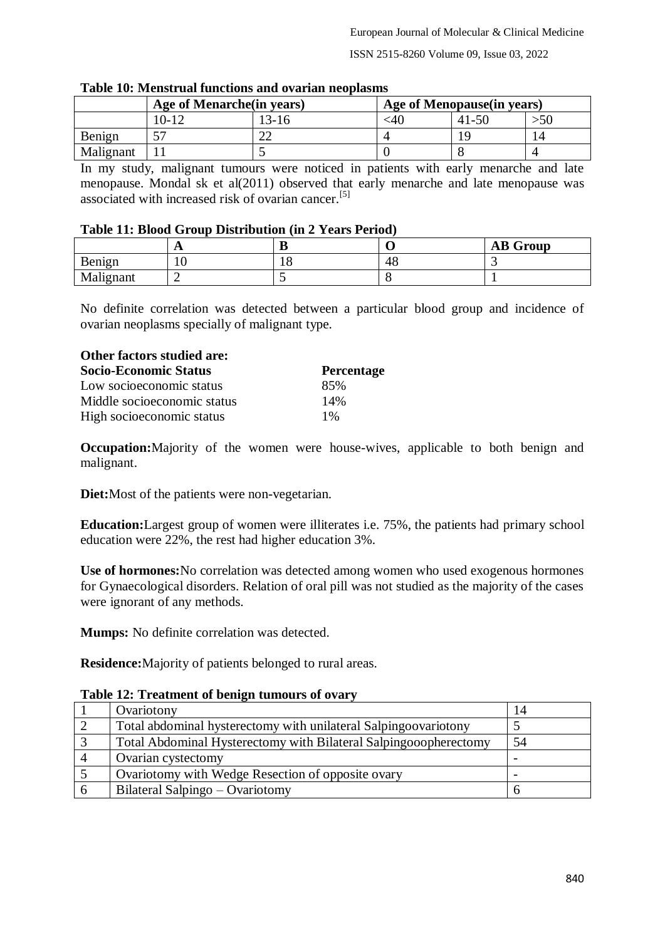|           | Age of Menarche (in years) |         | Age of Menopause (in years) |       |  |
|-----------|----------------------------|---------|-----------------------------|-------|--|
|           | 10-12                      | $13-16$ | $\leq 40$                   | 41-50 |  |
| Benign    | ٣Π                         |         |                             |       |  |
| Malignant |                            |         |                             |       |  |

#### **Table 10: Menstrual functions and ovarian neoplasms**

In my study, malignant tumours were noticed in patients with early menarche and late menopause. Mondal sk et al(2011) observed that early menarche and late menopause was associated with increased risk of ovarian cancer.<sup>[5]</sup>

## **Table 11: Blood Group Distribution (in 2 Years Period)**

|           | . . | ח<br>D |    | <b>AB</b> Group |
|-----------|-----|--------|----|-----------------|
| Benign    | ⊥ ∪ | ⊥∪     | 4c |                 |
| Malignant |     |        |    |                 |

No definite correlation was detected between a particular blood group and incidence of ovarian neoplasms specially of malignant type.

| Other factors studied are:   |                   |
|------------------------------|-------------------|
| <b>Socio-Economic Status</b> | <b>Percentage</b> |
| Low socioeconomic status     | 85%               |
| Middle socioeconomic status  | 14%               |
| High socioeconomic status    | $1\%$             |

**Occupation:**Majority of the women were house-wives, applicable to both benign and malignant.

**Diet:**Most of the patients were non-vegetarian.

**Education:**Largest group of women were illiterates i.e. 75%, the patients had primary school education were 22%, the rest had higher education 3%.

**Use of hormones:**No correlation was detected among women who used exogenous hormones for Gynaecological disorders. Relation of oral pill was not studied as the majority of the cases were ignorant of any methods.

**Mumps:** No definite correlation was detected.

**Residence:**Majority of patients belonged to rural areas.

### **Table 12: Treatment of benign tumours of ovary**

| Ovariotony                                                       | 14 |
|------------------------------------------------------------------|----|
| Total abdominal hysterectomy with unilateral Salpingoovariotony  |    |
| Total Abdominal Hysterectomy with Bilateral Salpingooopherectomy | 54 |
| Ovarian cystectomy                                               |    |
| Ovariotomy with Wedge Resection of opposite ovary                |    |
| Bilateral Salpingo – Ovariotomy                                  |    |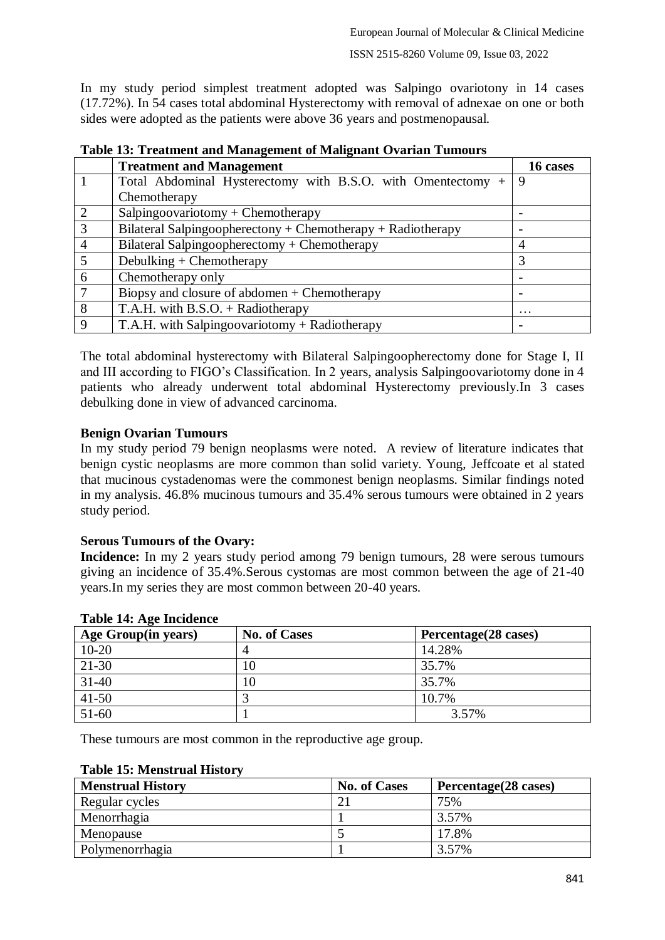In my study period simplest treatment adopted was Salpingo ovariotony in 14 cases (17.72%). In 54 cases total abdominal Hysterectomy with removal of adnexae on one or both sides were adopted as the patients were above 36 years and postmenopausal.

| Twore Iet II chemiche and Himmychiche of Himmyhane O (Milan I annowld |                                                             |                          |  |
|-----------------------------------------------------------------------|-------------------------------------------------------------|--------------------------|--|
|                                                                       | <b>Treatment and Management</b>                             | 16 cases                 |  |
|                                                                       | Total Abdominal Hysterectomy with B.S.O. with Omentectomy + | -9                       |  |
|                                                                       | Chemotherapy                                                |                          |  |
| 2                                                                     | Salpingoovariotomy + Chemotherapy                           |                          |  |
| $\overline{3}$                                                        | Bilateral Salpingoopherectony + Chemotherapy + Radiotherapy | $\overline{\phantom{0}}$ |  |
| $\overline{4}$                                                        | Bilateral Salpingoopherectomy + Chemotherapy                | 4                        |  |
| $\overline{5}$                                                        | Debulking $+$ Chemotherapy                                  |                          |  |
| 6                                                                     | Chemotherapy only                                           | $\overline{\phantom{0}}$ |  |
| -7                                                                    | Biopsy and closure of abdomen $+$ Chemotherapy              |                          |  |
| 8                                                                     | T.A.H. with $B.S.O. + Radiotherapy$                         | $\cdot\cdot\cdot$        |  |
| 9                                                                     | T.A.H. with Salpingoovariotomy + Radiotherapy               | $\overline{\phantom{a}}$ |  |

**Table 13: Treatment and Management of Malignant Ovarian Tumours**

The total abdominal hysterectomy with Bilateral Salpingoopherectomy done for Stage I, II and III according to FIGO's Classification. In 2 years, analysis Salpingoovariotomy done in 4 patients who already underwent total abdominal Hysterectomy previously.In 3 cases debulking done in view of advanced carcinoma.

## **Benign Ovarian Tumours**

In my study period 79 benign neoplasms were noted. A review of literature indicates that benign cystic neoplasms are more common than solid variety. Young, Jeffcoate et al stated that mucinous cystadenomas were the commonest benign neoplasms. Similar findings noted in my analysis. 46.8% mucinous tumours and 35.4% serous tumours were obtained in 2 years study period.

### **Serous Tumours of the Ovary:**

**Incidence:** In my 2 years study period among 79 benign tumours, 28 were serous tumours giving an incidence of 35.4%.Serous cystomas are most common between the age of 21-40 years.In my series they are most common between 20-40 years.

| Age Group(in years) | <b>No. of Cases</b> | Percentage(28 cases) |
|---------------------|---------------------|----------------------|
| $10-20$             |                     | 14.28%               |
| $21-30$             | 10                  | 35.7%                |
| $31-40$             | 10                  | 35.7%                |
| $41 - 50$           |                     | 10.7%                |
| $51-60$             |                     | 3.57%                |

## **Table 14: Age Incidence**

These tumours are most common in the reproductive age group.

### **Table 15: Menstrual History**

| <b>Menstrual History</b> | <b>No. of Cases</b> | Percentage(28 cases) |
|--------------------------|---------------------|----------------------|
| Regular cycles           |                     | 75%                  |
| Menorrhagia              |                     | 3.57%                |
| Menopause                |                     | 17.8%                |
| Polymenorrhagia          |                     | 3.57%                |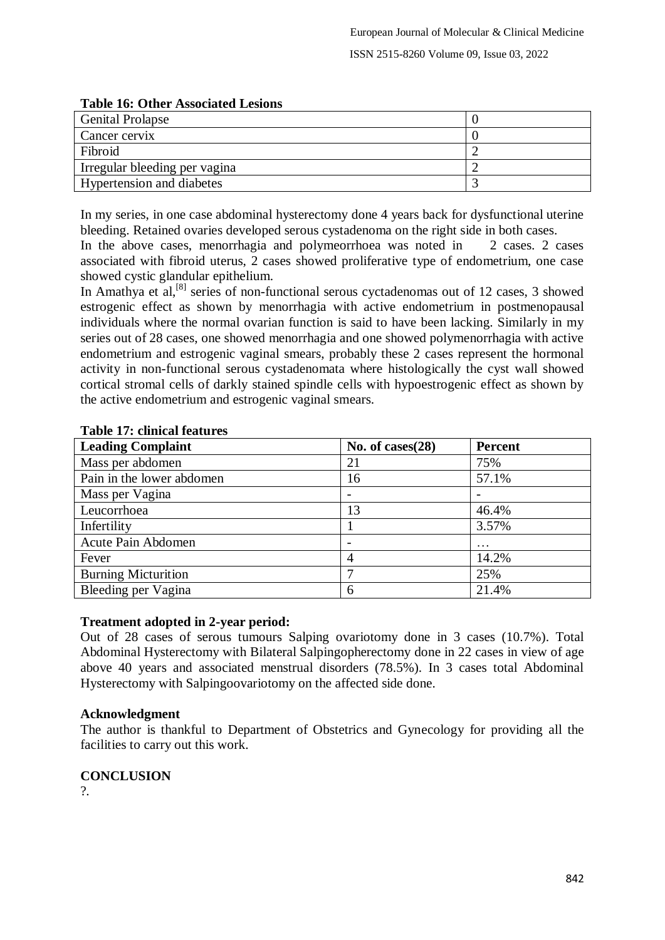| Tubic To: Other Associated Ecsions |  |
|------------------------------------|--|
| <b>Genital Prolapse</b>            |  |
| Cancer cervix                      |  |
| Fibroid                            |  |
| Irregular bleeding per vagina      |  |
| <b>Hypertension and diabetes</b>   |  |

## **Table 16: Other Associated Lesions**

In my series, in one case abdominal hysterectomy done 4 years back for dysfunctional uterine bleeding. Retained ovaries developed serous cystadenoma on the right side in both cases. In the above cases, menorrhagia and polymeorrhoea was noted in 2 cases. 2 cases associated with fibroid uterus, 2 cases showed proliferative type of endometrium, one case showed cystic glandular epithelium.

In Amathya et al,<sup>[8]</sup> series of non-functional serous cyctadenomas out of 12 cases, 3 showed estrogenic effect as shown by menorrhagia with active endometrium in postmenopausal individuals where the normal ovarian function is said to have been lacking. Similarly in my series out of 28 cases, one showed menorrhagia and one showed polymenorrhagia with active endometrium and estrogenic vaginal smears, probably these 2 cases represent the hormonal activity in non-functional serous cystadenomata where histologically the cyst wall showed cortical stromal cells of darkly stained spindle cells with hypoestrogenic effect as shown by the active endometrium and estrogenic vaginal smears.

| <b>Leading Complaint</b>   | No. of cases $(28)$ | <b>Percent</b> |
|----------------------------|---------------------|----------------|
| Mass per abdomen           | 21                  | 75%            |
| Pain in the lower abdomen  | 16                  | 57.1%          |
| Mass per Vagina            |                     |                |
| Leucorrhoea                | 13                  | 46.4%          |
| Infertility                |                     | 3.57%          |
| Acute Pain Abdomen         |                     | $\ddotsc$      |
| Fever                      |                     | 14.2%          |
| <b>Burning Micturition</b> |                     | 25%            |
| Bleeding per Vagina        | 6                   | 21.4%          |

## **Table 17: clinical features**

## **Treatment adopted in 2-year period:**

Out of 28 cases of serous tumours Salping ovariotomy done in 3 cases (10.7%). Total Abdominal Hysterectomy with Bilateral Salpingopherectomy done in 22 cases in view of age above 40 years and associated menstrual disorders (78.5%). In 3 cases total Abdominal Hysterectomy with Salpingoovariotomy on the affected side done.

## **Acknowledgment**

The author is thankful to Department of Obstetrics and Gynecology for providing all the facilities to carry out this work.

## **CONCLUSION**

 $\mathcal{P}$